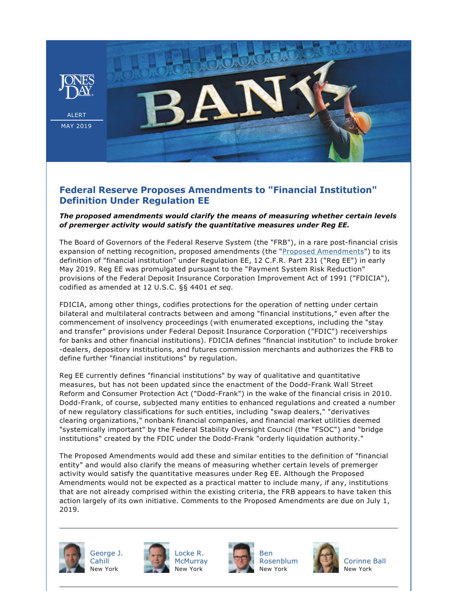

## **Federal Reserve Proposes Amendments to "Financial Institution" Definition Under Regulation EE**

## *The proposed amendments would clarify the means of measuring whether certain levels of premerger activity would satisfy the quantitative measures under Reg EE.*

The Board of Governors of the Federal Reserve System (the "FRB"), in a rare post-financial crisis expansion of netting recognition, proposed amendments (the ["Proposed Amendments](https://www.govinfo.gov/content/pkg/FR-2019-05-02/pdf/2019-08898.pdf)") to its definition of "financial institution" under Regulation EE, 12 C.F.R. Part 231 ("Reg EE") in early May 2019. Reg EE was promulgated pursuant to the "Payment System Risk Reduction" provisions of the Federal Deposit Insurance Corporation Improvement Act of 1991 ("FDICIA"), codified as amended at 12 U.S.C. §§ 4401 *et seq*.

FDICIA, among other things, codifies protections for the operation of netting under certain bilateral and multilateral contracts between and among "financial institutions," even after the commencement of insolvency proceedings (with enumerated exceptions, including the "stay and transfer" provisions under Federal Deposit Insurance Corporation ("FDIC") receiverships for banks and other financial institutions). FDICIA defines "financial institution" to include broker dealers, depository institutions, and futures commission merchants and authorizes the FRB to define further "financial institutions" by regulation.

Reg EE currently defines "financial institutions" by way of qualitative and quantitative measures, but has not been updated since the enactment of the Dodd-Frank Wall Street Reform and Consumer Protection Act ("Dodd-Frank") in the wake of the financial crisis in 2010. Dodd-Frank, of course, subjected many entities to enhanced regulations and created a number of new regulatory classifications for such entities, including "swap dealers," "derivatives clearing organizations," nonbank financial companies, and financial market utilities deemed "systemically important" by the Federal Stability Oversight Council (the "FSOC") and "bridge institutions" created by the FDIC under the Dodd-Frank "orderly liquidation authority."

The Proposed Amendments would add these and similar entities to the definition of "financial entity" and would also clarify the means of measuring whether certain levels of premerger activity would satisfy the quantitative measures under Reg EE. Although the Proposed Amendments would not be expected as a practical matter to include many, if any, institutions that are not already comprised within the existing criteria, the FRB appears to have taken this action largely of its own initiative. Comments to the Proposed Amendments are due on July 1, 2019.



[George J.](https://www.jonesday.com/gjcahill) **[Cahill](https://www.jonesday.com/gjcahill)** New York



[Locke R.](https://www.jonesday.com/lmcmurray)



[Ben](https://www.jonesday.com/brosenblum)  [Rosenblum](https://www.jonesday.com/brosenblum) New York



[Corinne Ball](https://www.jonesday.com/cball/) New York